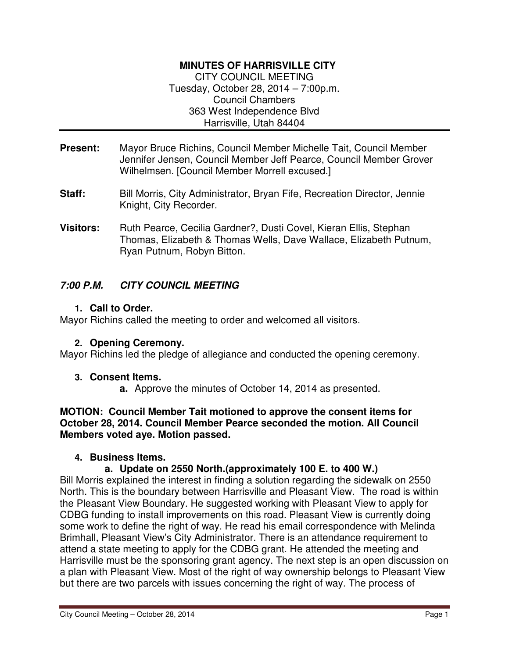# **MINUTES OF HARRISVILLE CITY**

CITY COUNCIL MEETING Tuesday, October 28, 2014 – 7:00p.m. Council Chambers 363 West Independence Blvd Harrisville, Utah 84404

- **Present:** Mayor Bruce Richins, Council Member Michelle Tait, Council Member Jennifer Jensen, Council Member Jeff Pearce, Council Member Grover Wilhelmsen. [Council Member Morrell excused.]
- **Staff:** Bill Morris, City Administrator, Bryan Fife, Recreation Director, Jennie Knight, City Recorder.
- Visitors: Ruth Pearce, Cecilia Gardner?, Dusti Covel, Kieran Ellis, Stephan Thomas, Elizabeth & Thomas Wells, Dave Wallace, Elizabeth Putnum, Ryan Putnum, Robyn Bitton.

# **7:00 P.M. CITY COUNCIL MEETING**

#### **1. Call to Order.**

Mayor Richins called the meeting to order and welcomed all visitors.

#### **2. Opening Ceremony.**

Mayor Richins led the pledge of allegiance and conducted the opening ceremony.

#### **3. Consent Items.**

**a.** Approve the minutes of October 14, 2014 as presented.

**MOTION: Council Member Tait motioned to approve the consent items for October 28, 2014. Council Member Pearce seconded the motion. All Council Members voted aye. Motion passed.** 

#### **4. Business Items.**

# **a. Update on 2550 North.(approximately 100 E. to 400 W.)**

Bill Morris explained the interest in finding a solution regarding the sidewalk on 2550 North. This is the boundary between Harrisville and Pleasant View. The road is within the Pleasant View Boundary. He suggested working with Pleasant View to apply for CDBG funding to install improvements on this road. Pleasant View is currently doing some work to define the right of way. He read his email correspondence with Melinda Brimhall, Pleasant View's City Administrator. There is an attendance requirement to attend a state meeting to apply for the CDBG grant. He attended the meeting and Harrisville must be the sponsoring grant agency. The next step is an open discussion on a plan with Pleasant View. Most of the right of way ownership belongs to Pleasant View but there are two parcels with issues concerning the right of way. The process of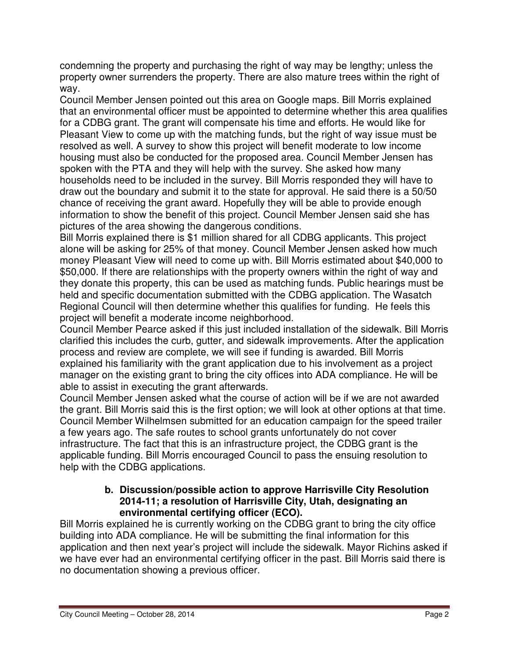condemning the property and purchasing the right of way may be lengthy; unless the property owner surrenders the property. There are also mature trees within the right of way.

Council Member Jensen pointed out this area on Google maps. Bill Morris explained that an environmental officer must be appointed to determine whether this area qualifies for a CDBG grant. The grant will compensate his time and efforts. He would like for Pleasant View to come up with the matching funds, but the right of way issue must be resolved as well. A survey to show this project will benefit moderate to low income housing must also be conducted for the proposed area. Council Member Jensen has spoken with the PTA and they will help with the survey. She asked how many households need to be included in the survey. Bill Morris responded they will have to draw out the boundary and submit it to the state for approval. He said there is a 50/50 chance of receiving the grant award. Hopefully they will be able to provide enough information to show the benefit of this project. Council Member Jensen said she has pictures of the area showing the dangerous conditions.

Bill Morris explained there is \$1 million shared for all CDBG applicants. This project alone will be asking for 25% of that money. Council Member Jensen asked how much money Pleasant View will need to come up with. Bill Morris estimated about \$40,000 to \$50,000. If there are relationships with the property owners within the right of way and they donate this property, this can be used as matching funds. Public hearings must be held and specific documentation submitted with the CDBG application. The Wasatch Regional Council will then determine whether this qualifies for funding. He feels this project will benefit a moderate income neighborhood.

Council Member Pearce asked if this just included installation of the sidewalk. Bill Morris clarified this includes the curb, gutter, and sidewalk improvements. After the application process and review are complete, we will see if funding is awarded. Bill Morris explained his familiarity with the grant application due to his involvement as a project manager on the existing grant to bring the city offices into ADA compliance. He will be able to assist in executing the grant afterwards.

Council Member Jensen asked what the course of action will be if we are not awarded the grant. Bill Morris said this is the first option; we will look at other options at that time. Council Member Wilhelmsen submitted for an education campaign for the speed trailer a few years ago. The safe routes to school grants unfortunately do not cover infrastructure. The fact that this is an infrastructure project, the CDBG grant is the applicable funding. Bill Morris encouraged Council to pass the ensuing resolution to help with the CDBG applications.

#### **b. Discussion/possible action to approve Harrisville City Resolution 2014-11; a resolution of Harrisville City, Utah, designating an environmental certifying officer (ECO).**

Bill Morris explained he is currently working on the CDBG grant to bring the city office building into ADA compliance. He will be submitting the final information for this application and then next year's project will include the sidewalk. Mayor Richins asked if we have ever had an environmental certifying officer in the past. Bill Morris said there is no documentation showing a previous officer.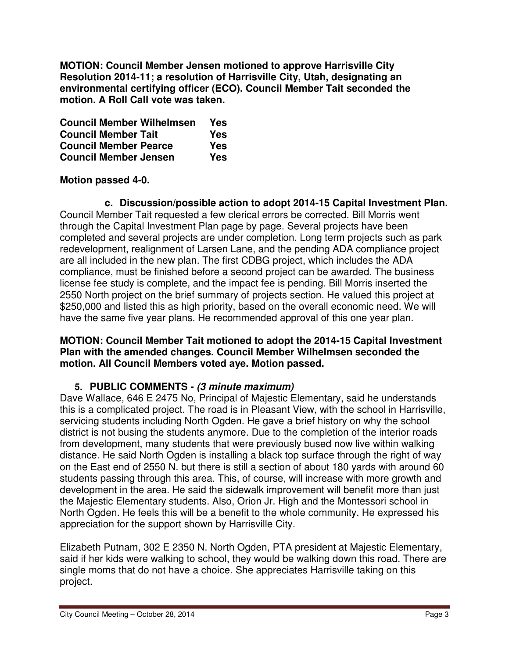**MOTION: Council Member Jensen motioned to approve Harrisville City Resolution 2014-11; a resolution of Harrisville City, Utah, designating an environmental certifying officer (ECO). Council Member Tait seconded the motion. A Roll Call vote was taken.** 

| <b>Council Member Wilhelmsen</b> | Yes |
|----------------------------------|-----|
| <b>Council Member Tait</b>       | Yes |
| <b>Council Member Pearce</b>     | Yes |
| <b>Council Member Jensen</b>     | Yes |

# **Motion passed 4-0.**

**c. Discussion/possible action to adopt 2014-15 Capital Investment Plan.**  Council Member Tait requested a few clerical errors be corrected. Bill Morris went through the Capital Investment Plan page by page. Several projects have been completed and several projects are under completion. Long term projects such as park redevelopment, realignment of Larsen Lane, and the pending ADA compliance project are all included in the new plan. The first CDBG project, which includes the ADA compliance, must be finished before a second project can be awarded. The business license fee study is complete, and the impact fee is pending. Bill Morris inserted the 2550 North project on the brief summary of projects section. He valued this project at \$250,000 and listed this as high priority, based on the overall economic need. We will have the same five year plans. He recommended approval of this one year plan.

#### **MOTION: Council Member Tait motioned to adopt the 2014-15 Capital Investment Plan with the amended changes. Council Member Wilhelmsen seconded the motion. All Council Members voted aye. Motion passed.**

# **5. PUBLIC COMMENTS - (3 minute maximum)**

Dave Wallace, 646 E 2475 No, Principal of Majestic Elementary, said he understands this is a complicated project. The road is in Pleasant View, with the school in Harrisville, servicing students including North Ogden. He gave a brief history on why the school district is not busing the students anymore. Due to the completion of the interior roads from development, many students that were previously bused now live within walking distance. He said North Ogden is installing a black top surface through the right of way on the East end of 2550 N. but there is still a section of about 180 yards with around 60 students passing through this area. This, of course, will increase with more growth and development in the area. He said the sidewalk improvement will benefit more than just the Majestic Elementary students. Also, Orion Jr. High and the Montessori school in North Ogden. He feels this will be a benefit to the whole community. He expressed his appreciation for the support shown by Harrisville City.

Elizabeth Putnam, 302 E 2350 N. North Ogden, PTA president at Majestic Elementary, said if her kids were walking to school, they would be walking down this road. There are single moms that do not have a choice. She appreciates Harrisville taking on this project.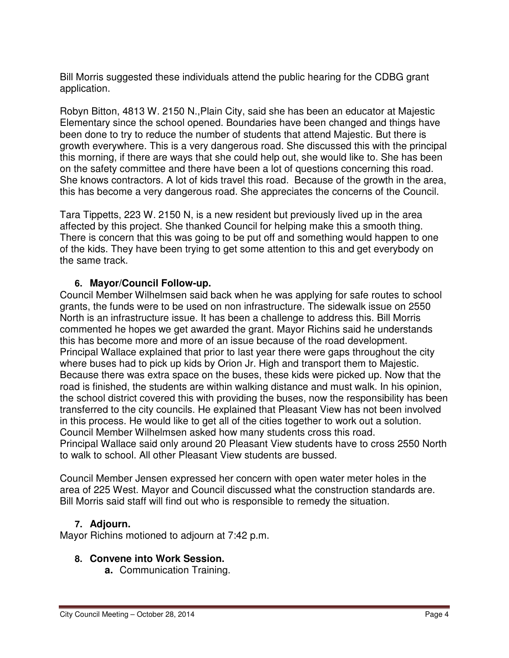Bill Morris suggested these individuals attend the public hearing for the CDBG grant application.

Robyn Bitton, 4813 W. 2150 N.,Plain City, said she has been an educator at Majestic Elementary since the school opened. Boundaries have been changed and things have been done to try to reduce the number of students that attend Majestic. But there is growth everywhere. This is a very dangerous road. She discussed this with the principal this morning, if there are ways that she could help out, she would like to. She has been on the safety committee and there have been a lot of questions concerning this road. She knows contractors. A lot of kids travel this road. Because of the growth in the area, this has become a very dangerous road. She appreciates the concerns of the Council.

Tara Tippetts, 223 W. 2150 N, is a new resident but previously lived up in the area affected by this project. She thanked Council for helping make this a smooth thing. There is concern that this was going to be put off and something would happen to one of the kids. They have been trying to get some attention to this and get everybody on the same track.

# **6. Mayor/Council Follow-up.**

Council Member Wilhelmsen said back when he was applying for safe routes to school grants, the funds were to be used on non infrastructure. The sidewalk issue on 2550 North is an infrastructure issue. It has been a challenge to address this. Bill Morris commented he hopes we get awarded the grant. Mayor Richins said he understands this has become more and more of an issue because of the road development. Principal Wallace explained that prior to last year there were gaps throughout the city where buses had to pick up kids by Orion Jr. High and transport them to Majestic. Because there was extra space on the buses, these kids were picked up. Now that the road is finished, the students are within walking distance and must walk. In his opinion, the school district covered this with providing the buses, now the responsibility has been transferred to the city councils. He explained that Pleasant View has not been involved in this process. He would like to get all of the cities together to work out a solution. Council Member Wilhelmsen asked how many students cross this road. Principal Wallace said only around 20 Pleasant View students have to cross 2550 North to walk to school. All other Pleasant View students are bussed.

Council Member Jensen expressed her concern with open water meter holes in the area of 225 West. Mayor and Council discussed what the construction standards are. Bill Morris said staff will find out who is responsible to remedy the situation.

# **7. Adjourn.**

Mayor Richins motioned to adjourn at 7:42 p.m.

# **8. Convene into Work Session.**

**a.** Communication Training.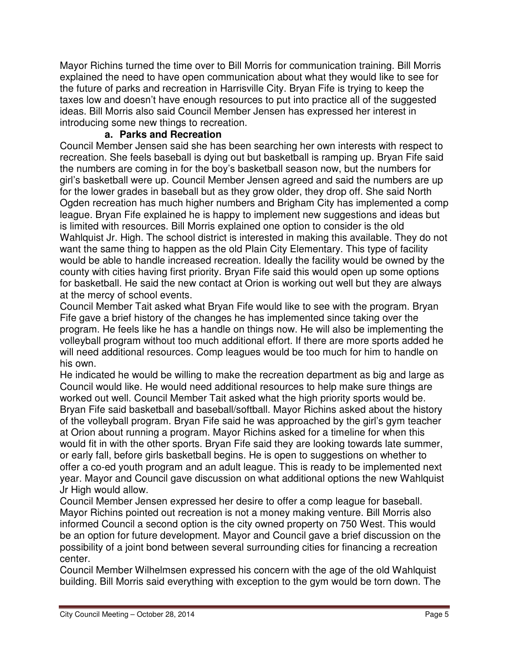Mayor Richins turned the time over to Bill Morris for communication training. Bill Morris explained the need to have open communication about what they would like to see for the future of parks and recreation in Harrisville City. Bryan Fife is trying to keep the taxes low and doesn't have enough resources to put into practice all of the suggested ideas. Bill Morris also said Council Member Jensen has expressed her interest in introducing some new things to recreation.

#### **a. Parks and Recreation**

Council Member Jensen said she has been searching her own interests with respect to recreation. She feels baseball is dying out but basketball is ramping up. Bryan Fife said the numbers are coming in for the boy's basketball season now, but the numbers for girl's basketball were up. Council Member Jensen agreed and said the numbers are up for the lower grades in baseball but as they grow older, they drop off. She said North Ogden recreation has much higher numbers and Brigham City has implemented a comp league. Bryan Fife explained he is happy to implement new suggestions and ideas but is limited with resources. Bill Morris explained one option to consider is the old Wahlquist Jr. High. The school district is interested in making this available. They do not want the same thing to happen as the old Plain City Elementary. This type of facility would be able to handle increased recreation. Ideally the facility would be owned by the county with cities having first priority. Bryan Fife said this would open up some options for basketball. He said the new contact at Orion is working out well but they are always at the mercy of school events.

Council Member Tait asked what Bryan Fife would like to see with the program. Bryan Fife gave a brief history of the changes he has implemented since taking over the program. He feels like he has a handle on things now. He will also be implementing the volleyball program without too much additional effort. If there are more sports added he will need additional resources. Comp leagues would be too much for him to handle on his own.

He indicated he would be willing to make the recreation department as big and large as Council would like. He would need additional resources to help make sure things are worked out well. Council Member Tait asked what the high priority sports would be. Bryan Fife said basketball and baseball/softball. Mayor Richins asked about the history of the volleyball program. Bryan Fife said he was approached by the girl's gym teacher at Orion about running a program. Mayor Richins asked for a timeline for when this would fit in with the other sports. Bryan Fife said they are looking towards late summer, or early fall, before girls basketball begins. He is open to suggestions on whether to offer a co-ed youth program and an adult league. This is ready to be implemented next year. Mayor and Council gave discussion on what additional options the new Wahlquist Jr High would allow.

Council Member Jensen expressed her desire to offer a comp league for baseball. Mayor Richins pointed out recreation is not a money making venture. Bill Morris also informed Council a second option is the city owned property on 750 West. This would be an option for future development. Mayor and Council gave a brief discussion on the possibility of a joint bond between several surrounding cities for financing a recreation center.

Council Member Wilhelmsen expressed his concern with the age of the old Wahlquist building. Bill Morris said everything with exception to the gym would be torn down. The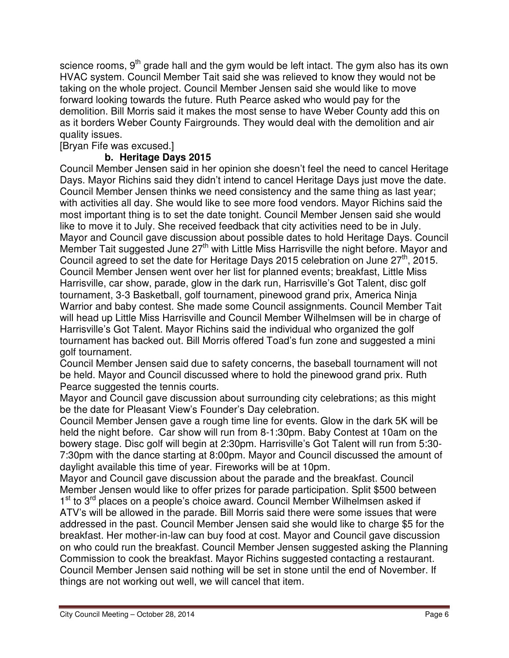science rooms,  $9<sup>th</sup>$  grade hall and the gym would be left intact. The gym also has its own HVAC system. Council Member Tait said she was relieved to know they would not be taking on the whole project. Council Member Jensen said she would like to move forward looking towards the future. Ruth Pearce asked who would pay for the demolition. Bill Morris said it makes the most sense to have Weber County add this on as it borders Weber County Fairgrounds. They would deal with the demolition and air quality issues.

# [Bryan Fife was excused.]

# **b. Heritage Days 2015**

Council Member Jensen said in her opinion she doesn't feel the need to cancel Heritage Days. Mayor Richins said they didn't intend to cancel Heritage Days just move the date. Council Member Jensen thinks we need consistency and the same thing as last year; with activities all day. She would like to see more food vendors. Mayor Richins said the most important thing is to set the date tonight. Council Member Jensen said she would like to move it to July. She received feedback that city activities need to be in July. Mayor and Council gave discussion about possible dates to hold Heritage Days. Council Member Tait suggested June 27<sup>th</sup> with Little Miss Harrisville the night before. Mayor and Council agreed to set the date for Heritage Days 2015 celebration on June  $27<sup>th</sup>$ , 2015. Council Member Jensen went over her list for planned events; breakfast, Little Miss Harrisville, car show, parade, glow in the dark run, Harrisville's Got Talent, disc golf tournament, 3-3 Basketball, golf tournament, pinewood grand prix, America Ninja Warrior and baby contest. She made some Council assignments. Council Member Tait will head up Little Miss Harrisville and Council Member Wilhelmsen will be in charge of Harrisville's Got Talent. Mayor Richins said the individual who organized the golf tournament has backed out. Bill Morris offered Toad's fun zone and suggested a mini golf tournament.

Council Member Jensen said due to safety concerns, the baseball tournament will not be held. Mayor and Council discussed where to hold the pinewood grand prix. Ruth Pearce suggested the tennis courts.

Mayor and Council gave discussion about surrounding city celebrations; as this might be the date for Pleasant View's Founder's Day celebration.

Council Member Jensen gave a rough time line for events. Glow in the dark 5K will be held the night before. Car show will run from 8-1:30pm. Baby Contest at 10am on the bowery stage. Disc golf will begin at 2:30pm. Harrisville's Got Talent will run from 5:30- 7:30pm with the dance starting at 8:00pm. Mayor and Council discussed the amount of daylight available this time of year. Fireworks will be at 10pm.

Mayor and Council gave discussion about the parade and the breakfast. Council Member Jensen would like to offer prizes for parade participation. Split \$500 between 1<sup>st</sup> to 3<sup>rd</sup> places on a people's choice award. Council Member Wilhelmsen asked if ATV's will be allowed in the parade. Bill Morris said there were some issues that were addressed in the past. Council Member Jensen said she would like to charge \$5 for the breakfast. Her mother-in-law can buy food at cost. Mayor and Council gave discussion on who could run the breakfast. Council Member Jensen suggested asking the Planning Commission to cook the breakfast. Mayor Richins suggested contacting a restaurant. Council Member Jensen said nothing will be set in stone until the end of November. If things are not working out well, we will cancel that item.